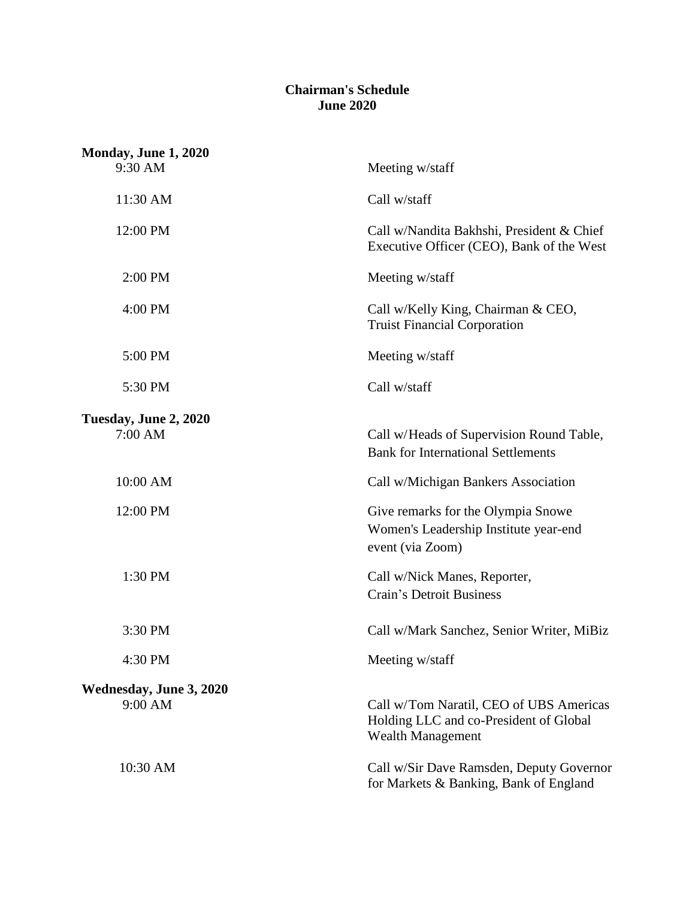## **Chairman's Schedule June 2020**

| <b>Monday, June 1, 2020</b>      |                                                                                                               |
|----------------------------------|---------------------------------------------------------------------------------------------------------------|
| 9:30 AM                          | Meeting w/staff                                                                                               |
| 11:30 AM                         | Call w/staff                                                                                                  |
| 12:00 PM                         | Call w/Nandita Bakhshi, President & Chief<br>Executive Officer (CEO), Bank of the West                        |
| 2:00 PM                          | Meeting w/staff                                                                                               |
| 4:00 PM                          | Call w/Kelly King, Chairman & CEO,<br><b>Truist Financial Corporation</b>                                     |
| 5:00 PM                          | Meeting w/staff                                                                                               |
| 5:30 PM                          | Call w/staff                                                                                                  |
| Tuesday, June 2, 2020<br>7:00 AM | Call w/Heads of Supervision Round Table,<br><b>Bank for International Settlements</b>                         |
| 10:00 AM                         | Call w/Michigan Bankers Association                                                                           |
| 12:00 PM                         | Give remarks for the Olympia Snowe<br>Women's Leadership Institute year-end<br>event (via Zoom)               |
| 1:30 PM                          | Call w/Nick Manes, Reporter,<br><b>Crain's Detroit Business</b>                                               |
| 3:30 PM                          | Call w/Mark Sanchez, Senior Writer, MiBiz                                                                     |
| 4:30 PM                          | Meeting w/staff                                                                                               |
| Wednesday, June 3, 2020          |                                                                                                               |
| 9:00 AM                          | Call w/Tom Naratil, CEO of UBS Americas<br>Holding LLC and co-President of Global<br><b>Wealth Management</b> |
| 10:30 AM                         | Call w/Sir Dave Ramsden, Deputy Governor<br>for Markets & Banking, Bank of England                            |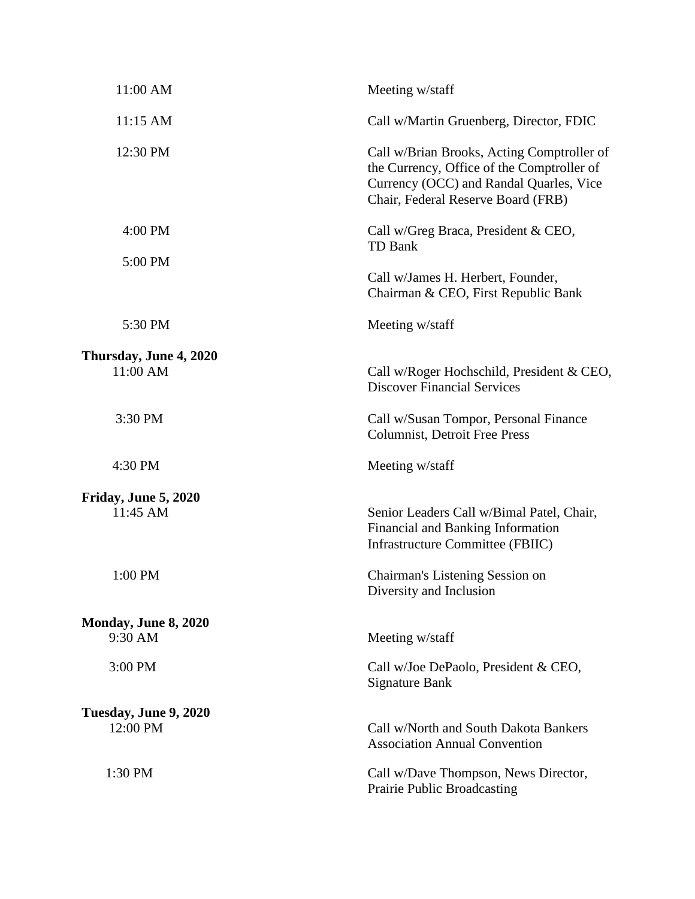| 11:00 AM                           | Meeting w/staff                                                                                                                                                           |
|------------------------------------|---------------------------------------------------------------------------------------------------------------------------------------------------------------------------|
| 11:15 AM                           | Call w/Martin Gruenberg, Director, FDIC                                                                                                                                   |
| 12:30 PM                           | Call w/Brian Brooks, Acting Comptroller of<br>the Currency, Office of the Comptroller of<br>Currency (OCC) and Randal Quarles, Vice<br>Chair, Federal Reserve Board (FRB) |
| 4:00 PM                            | Call w/Greg Braca, President & CEO,<br>TD Bank                                                                                                                            |
| 5:00 PM                            | Call w/James H. Herbert, Founder,<br>Chairman & CEO, First Republic Bank                                                                                                  |
| 5:30 PM                            | Meeting w/staff                                                                                                                                                           |
| Thursday, June 4, 2020<br>11:00 AM | Call w/Roger Hochschild, President & CEO,<br><b>Discover Financial Services</b>                                                                                           |
| 3:30 PM                            | Call w/Susan Tompor, Personal Finance<br><b>Columnist, Detroit Free Press</b>                                                                                             |
| 4:30 PM                            | Meeting w/staff                                                                                                                                                           |
| Friday, June 5, 2020<br>11:45 AM   | Senior Leaders Call w/Bimal Patel, Chair,<br>Financial and Banking Information<br>Infrastructure Committee (FBIIC)                                                        |
| 1:00 PM                            | Chairman's Listening Session on<br>Diversity and Inclusion                                                                                                                |
| Monday, June 8, 2020<br>9:30 AM    | Meeting w/staff                                                                                                                                                           |
| 3:00 PM                            | Call w/Joe DePaolo, President & CEO,<br><b>Signature Bank</b>                                                                                                             |
| Tuesday, June 9, 2020<br>12:00 PM  | Call w/North and South Dakota Bankers<br><b>Association Annual Convention</b>                                                                                             |
| 1:30 PM                            | Call w/Dave Thompson, News Director,<br>Prairie Public Broadcasting                                                                                                       |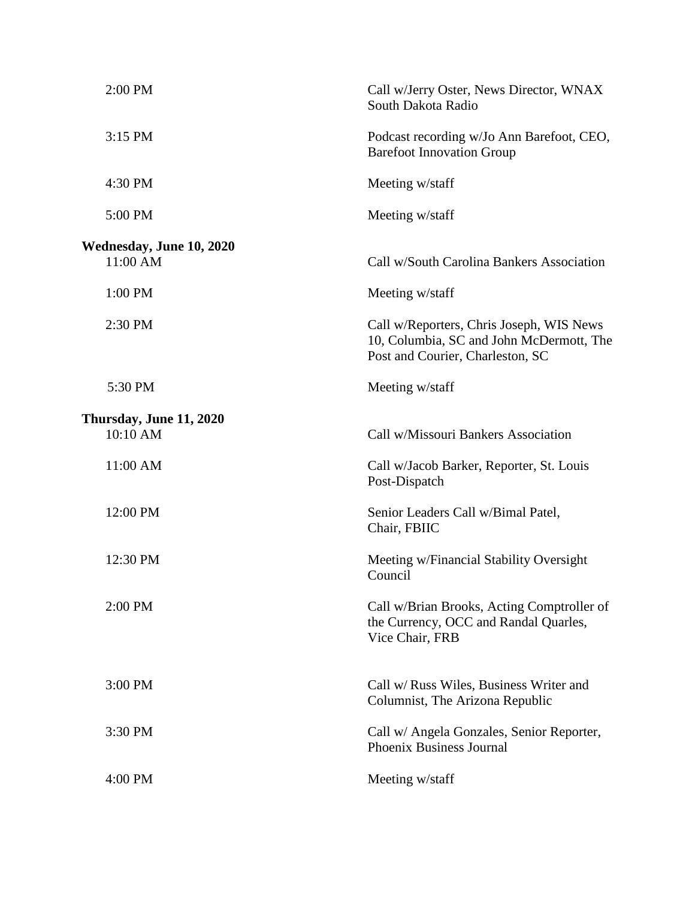| 2:00 PM                              | Call w/Jerry Oster, News Director, WNAX<br>South Dakota Radio                                                            |
|--------------------------------------|--------------------------------------------------------------------------------------------------------------------------|
| 3:15 PM                              | Podcast recording w/Jo Ann Barefoot, CEO,<br><b>Barefoot Innovation Group</b>                                            |
| 4:30 PM                              | Meeting w/staff                                                                                                          |
| 5:00 PM                              | Meeting w/staff                                                                                                          |
| Wednesday, June 10, 2020<br>11:00 AM | Call w/South Carolina Bankers Association                                                                                |
| 1:00 PM                              | Meeting w/staff                                                                                                          |
| 2:30 PM                              | Call w/Reporters, Chris Joseph, WIS News<br>10, Columbia, SC and John McDermott, The<br>Post and Courier, Charleston, SC |
| 5:30 PM                              | Meeting w/staff                                                                                                          |
| Thursday, June 11, 2020<br>10:10 AM  | Call w/Missouri Bankers Association                                                                                      |
| 11:00 AM                             | Call w/Jacob Barker, Reporter, St. Louis<br>Post-Dispatch                                                                |
| 12:00 PM                             | Senior Leaders Call w/Bimal Patel,<br>Chair, FBIIC                                                                       |
| 12:30 PM                             | Meeting w/Financial Stability Oversight<br>Council                                                                       |
| 2:00 PM                              | Call w/Brian Brooks, Acting Comptroller of<br>the Currency, OCC and Randal Quarles,<br>Vice Chair, FRB                   |
| 3:00 PM                              | Call w/ Russ Wiles, Business Writer and<br>Columnist, The Arizona Republic                                               |
| 3:30 PM                              | Call w/ Angela Gonzales, Senior Reporter,<br>Phoenix Business Journal                                                    |
| 4:00 PM                              | Meeting w/staff                                                                                                          |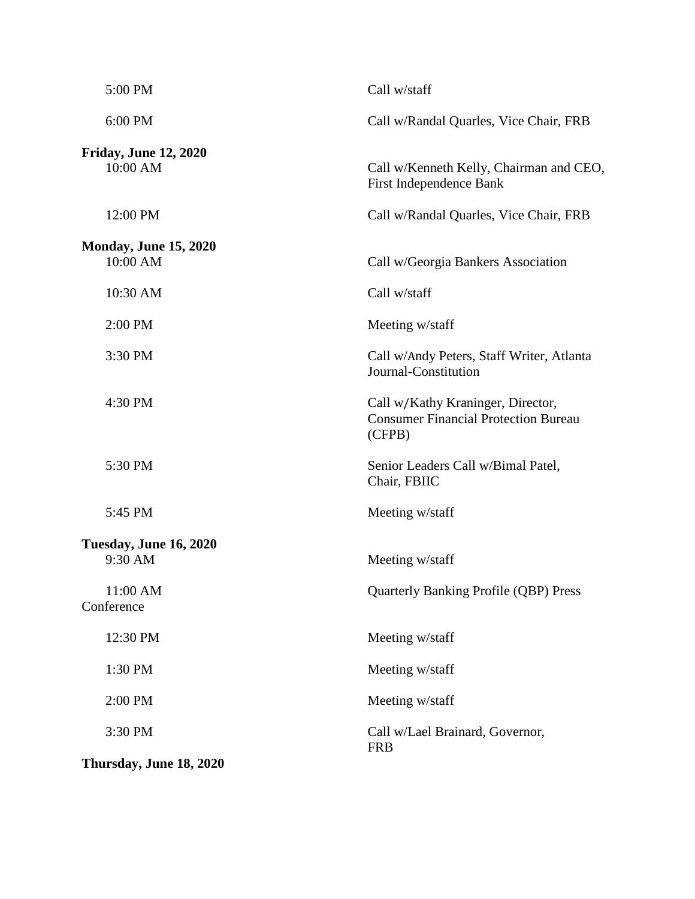| 5:00 PM                                  | Call w/staff                                                                               |
|------------------------------------------|--------------------------------------------------------------------------------------------|
| 6:00 PM                                  | Call w/Randal Quarles, Vice Chair, FRB                                                     |
| <b>Friday, June 12, 2020</b><br>10:00 AM | Call w/Kenneth Kelly, Chairman and CEO,<br>First Independence Bank                         |
| 12:00 PM                                 | Call w/Randal Quarles, Vice Chair, FRB                                                     |
| <b>Monday, June 15, 2020</b><br>10:00 AM | Call w/Georgia Bankers Association                                                         |
| 10:30 AM                                 | Call w/staff                                                                               |
| 2:00 PM                                  | Meeting w/staff                                                                            |
| 3:30 PM                                  | Call w/Andy Peters, Staff Writer, Atlanta<br>Journal-Constitution                          |
| 4:30 PM                                  | Call w/Kathy Kraninger, Director,<br><b>Consumer Financial Protection Bureau</b><br>(CFPB) |
| 5:30 PM                                  | Senior Leaders Call w/Bimal Patel,<br>Chair, FBIIC                                         |
| 5:45 PM                                  | Meeting w/staff                                                                            |
| Tuesday, June 16, 2020<br>9:30 AM        | Meeting w/staff                                                                            |
| 11:00 AM<br>Conference                   | <b>Quarterly Banking Profile (QBP) Press</b>                                               |
| 12:30 PM                                 | Meeting w/staff                                                                            |
| 1:30 PM                                  | Meeting w/staff                                                                            |
| 2:00 PM                                  | Meeting w/staff                                                                            |
| 3:30 PM                                  | Call w/Lael Brainard, Governor,<br><b>FRB</b>                                              |
| Thursday, June 18, 2020                  |                                                                                            |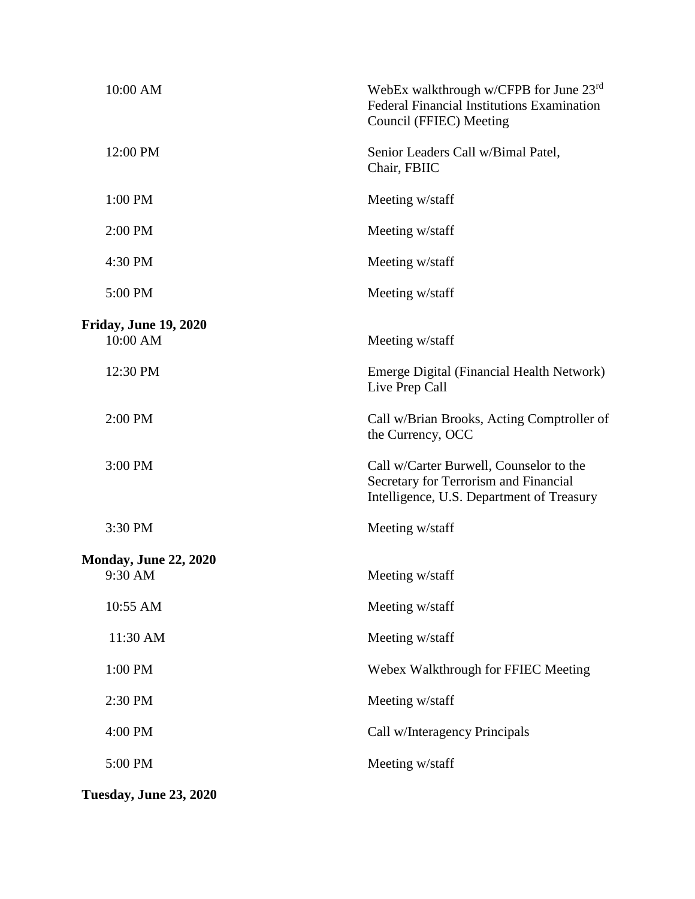| 10:00 AM                     | WebEx walkthrough w/CFPB for June $23^{\text{rd}}$<br>Federal Financial Institutions Examination<br>Council (FFIEC) Meeting   |
|------------------------------|-------------------------------------------------------------------------------------------------------------------------------|
| 12:00 PM                     | Senior Leaders Call w/Bimal Patel,<br>Chair, FBIIC                                                                            |
| 1:00 PM                      | Meeting w/staff                                                                                                               |
| 2:00 PM                      | Meeting w/staff                                                                                                               |
| 4:30 PM                      | Meeting w/staff                                                                                                               |
| 5:00 PM                      | Meeting w/staff                                                                                                               |
| <b>Friday, June 19, 2020</b> |                                                                                                                               |
| 10:00 AM                     | Meeting w/staff                                                                                                               |
| 12:30 PM                     | Emerge Digital (Financial Health Network)<br>Live Prep Call                                                                   |
| 2:00 PM                      | Call w/Brian Brooks, Acting Comptroller of<br>the Currency, OCC                                                               |
| 3:00 PM                      | Call w/Carter Burwell, Counselor to the<br>Secretary for Terrorism and Financial<br>Intelligence, U.S. Department of Treasury |
| 3:30 PM                      | Meeting w/staff                                                                                                               |
| <b>Monday, June 22, 2020</b> |                                                                                                                               |
| 9:30 AM                      | Meeting w/staff                                                                                                               |
| 10:55 AM                     | Meeting w/staff                                                                                                               |
| 11:30 AM                     | Meeting w/staff                                                                                                               |
| 1:00 PM                      | Webex Walkthrough for FFIEC Meeting                                                                                           |
| 2:30 PM                      | Meeting w/staff                                                                                                               |
| 4:00 PM                      | Call w/Interagency Principals                                                                                                 |
| 5:00 PM                      | Meeting w/staff                                                                                                               |
|                              |                                                                                                                               |

**Tuesday, June 23, 2020**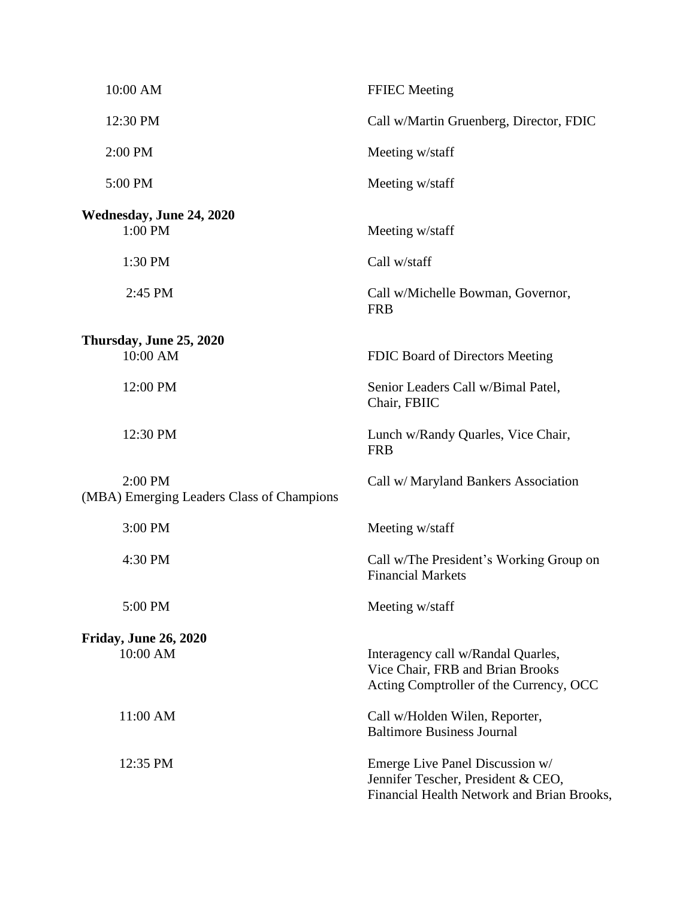| 10:00 AM                                             | <b>FFIEC</b> Meeting                                                                                                |
|------------------------------------------------------|---------------------------------------------------------------------------------------------------------------------|
| 12:30 PM                                             | Call w/Martin Gruenberg, Director, FDIC                                                                             |
| 2:00 PM                                              | Meeting w/staff                                                                                                     |
| 5:00 PM                                              | Meeting w/staff                                                                                                     |
| Wednesday, June 24, 2020<br>1:00 PM                  | Meeting w/staff                                                                                                     |
| 1:30 PM                                              | Call w/staff                                                                                                        |
| 2:45 PM                                              | Call w/Michelle Bowman, Governor,<br><b>FRB</b>                                                                     |
| Thursday, June 25, 2020<br>10:00 AM                  | FDIC Board of Directors Meeting                                                                                     |
| 12:00 PM                                             | Senior Leaders Call w/Bimal Patel,<br>Chair, FBIIC                                                                  |
| 12:30 PM                                             | Lunch w/Randy Quarles, Vice Chair,<br><b>FRB</b>                                                                    |
| 2:00 PM<br>(MBA) Emerging Leaders Class of Champions | Call w/ Maryland Bankers Association                                                                                |
| 3:00 PM                                              | Meeting w/staff                                                                                                     |
| 4:30 PM                                              | Call w/The President's Working Group on<br><b>Financial Markets</b>                                                 |
| 5:00 PM                                              | Meeting w/staff                                                                                                     |
| <b>Friday, June 26, 2020</b><br>10:00 AM             | Interagency call w/Randal Quarles,<br>Vice Chair, FRB and Brian Brooks<br>Acting Comptroller of the Currency, OCC   |
| 11:00 AM                                             | Call w/Holden Wilen, Reporter,<br><b>Baltimore Business Journal</b>                                                 |
| 12:35 PM                                             | Emerge Live Panel Discussion w/<br>Jennifer Tescher, President & CEO,<br>Financial Health Network and Brian Brooks, |